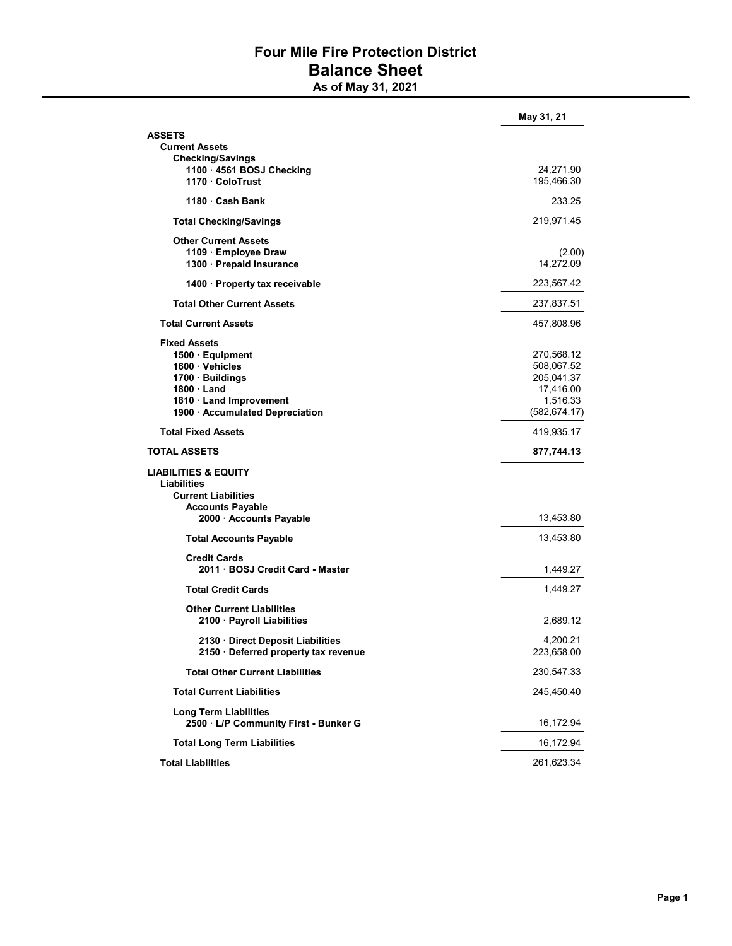## Four Mile Fire Protection District Balance Sheet

As of May 31, 2021

|                                                                | May 31, 21    |
|----------------------------------------------------------------|---------------|
| <b>ASSETS</b>                                                  |               |
| <b>Current Assets</b>                                          |               |
| <b>Checking/Savings</b>                                        |               |
| 1100 · 4561 BOSJ Checking                                      | 24,271.90     |
| 1170 ColoTrust                                                 | 195,466.30    |
| 1180 Cash Bank                                                 | 233.25        |
| <b>Total Checking/Savings</b>                                  | 219,971.45    |
| <b>Other Current Assets</b>                                    |               |
| 1109 Employee Draw                                             | (2.00)        |
| 1300 Prepaid Insurance                                         | 14,272.09     |
|                                                                |               |
| 1400 · Property tax receivable                                 | 223,567.42    |
| <b>Total Other Current Assets</b>                              | 237,837.51    |
| <b>Total Current Assets</b>                                    | 457,808.96    |
| <b>Fixed Assets</b>                                            |               |
| 1500 · Equipment                                               | 270,568.12    |
| 1600 · Vehicles                                                | 508,067.52    |
| 1700 · Buildings                                               | 205,041.37    |
| $1800 \cdot$ Land                                              | 17,416.00     |
| 1810 · Land Improvement                                        | 1,516.33      |
| 1900 · Accumulated Depreciation                                | (582, 674.17) |
| <b>Total Fixed Assets</b>                                      | 419,935.17    |
| <b>TOTAL ASSETS</b>                                            | 877,744.13    |
| <b>LIABILITIES &amp; EQUITY</b>                                |               |
| Liabilities                                                    |               |
| <b>Current Liabilities</b>                                     |               |
| <b>Accounts Payable</b>                                        |               |
| 2000 · Accounts Payable                                        | 13,453.80     |
| <b>Total Accounts Payable</b>                                  | 13,453.80     |
|                                                                |               |
| <b>Credit Cards</b>                                            |               |
| 2011 BOSJ Credit Card - Master                                 | 1,449.27      |
| <b>Total Credit Cards</b>                                      | 1,449.27      |
| <b>Other Current Liabilities</b>                               |               |
| 2100 · Payroll Liabilities                                     | 2,689.12      |
| 2130 · Direct Deposit Liabilities                              | 4,200.21      |
| 2150 · Deferred property tax revenue                           | 223,658.00    |
| <b>Total Other Current Liabilities</b>                         | 230,547.33    |
| <b>Total Current Liabilities</b>                               | 245,450.40    |
|                                                                |               |
| Long Term Liabilities<br>2500 · L/P Community First - Bunker G | 16,172.94     |
| <b>Total Long Term Liabilities</b>                             | 16,172.94     |
| <b>Total Liabilities</b>                                       | 261,623.34    |
|                                                                |               |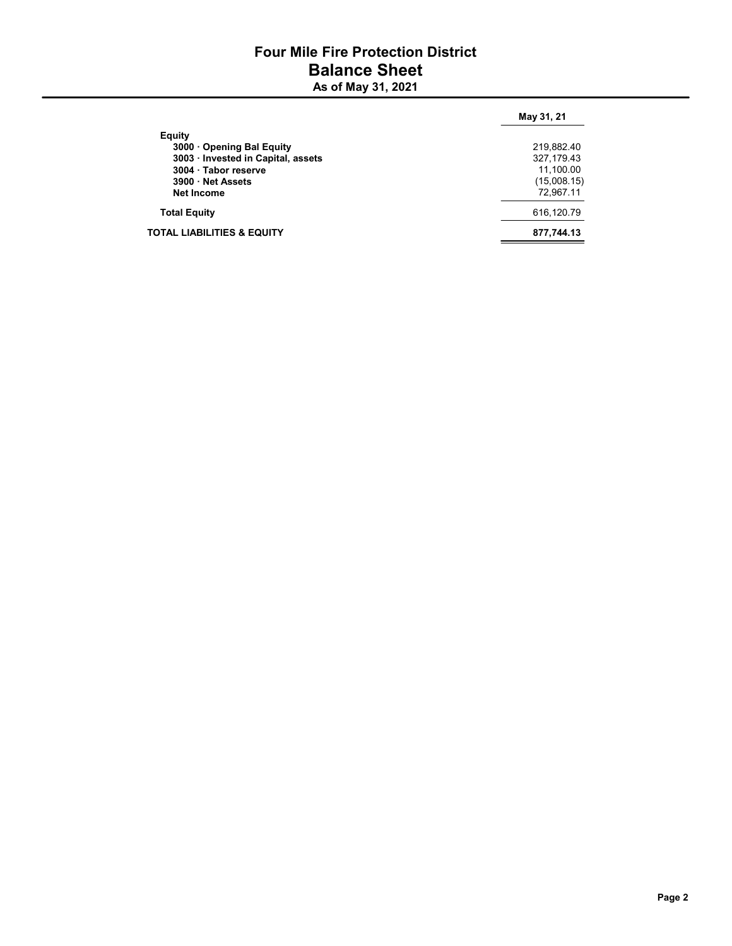## Four Mile Fire Protection District Balance Sheet As of May 31, 2021

|                                       | May 31, 21  |
|---------------------------------------|-------------|
| Equity                                |             |
| 3000 Opening Bal Equity               | 219,882.40  |
| 3003 · Invested in Capital, assets    | 327,179.43  |
| 3004 · Tabor reserve                  | 11,100.00   |
| 3900 Net Assets                       | (15,008.15) |
| <b>Net Income</b>                     | 72,967.11   |
| <b>Total Equity</b>                   | 616,120.79  |
| <b>TOTAL LIABILITIES &amp; EQUITY</b> | 877,744.13  |